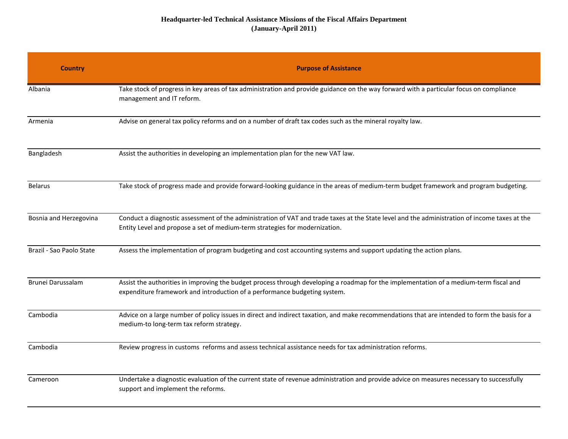## **Headquarter-led Technical Assistance Missions of the Fiscal Affairs Department (January-April 2011)**

| <b>Country</b>           | <b>Purpose of Assistance</b>                                                                                                                                                                                                 |
|--------------------------|------------------------------------------------------------------------------------------------------------------------------------------------------------------------------------------------------------------------------|
| Albania                  | Take stock of progress in key areas of tax administration and provide guidance on the way forward with a particular focus on compliance<br>management and IT reform.                                                         |
| Armenia                  | Advise on general tax policy reforms and on a number of draft tax codes such as the mineral royalty law.                                                                                                                     |
| Bangladesh               | Assist the authorities in developing an implementation plan for the new VAT law.                                                                                                                                             |
| <b>Belarus</b>           | Take stock of progress made and provide forward-looking guidance in the areas of medium-term budget framework and program budgeting.                                                                                         |
| Bosnia and Herzegovina   | Conduct a diagnostic assessment of the administration of VAT and trade taxes at the State level and the administration of income taxes at the<br>Entity Level and propose a set of medium-term strategies for modernization. |
| Brazil - Sao Paolo State | Assess the implementation of program budgeting and cost accounting systems and support updating the action plans.                                                                                                            |
| Brunei Darussalam        | Assist the authorities in improving the budget process through developing a roadmap for the implementation of a medium-term fiscal and<br>expenditure framework and introduction of a performance budgeting system.          |
| Cambodia                 | Advice on a large number of policy issues in direct and indirect taxation, and make recommendations that are intended to form the basis for a<br>medium-to long-term tax reform strategy.                                    |
| Cambodia                 | Review progress in customs reforms and assess technical assistance needs for tax administration reforms.                                                                                                                     |
| Cameroon                 | Undertake a diagnostic evaluation of the current state of revenue administration and provide advice on measures necessary to successfully<br>support and implement the reforms.                                              |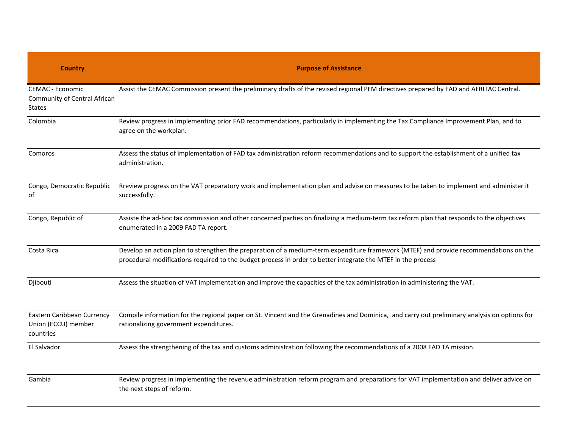| <b>Country</b>                                                           | <b>Purpose of Assistance</b>                                                                                                                                                                                                                          |
|--------------------------------------------------------------------------|-------------------------------------------------------------------------------------------------------------------------------------------------------------------------------------------------------------------------------------------------------|
| <b>CEMAC - Economic</b><br>Community of Central African<br><b>States</b> | Assist the CEMAC Commission present the preliminary drafts of the revised regional PFM directives prepared by FAD and AFRITAC Central.                                                                                                                |
| Colombia                                                                 | Review progress in implementing prior FAD recommendations, particularly in implementing the Tax Compliance Improvement Plan, and to<br>agree on the workplan.                                                                                         |
| Comoros                                                                  | Assess the status of implementation of FAD tax administration reform recommendations and to support the establishment of a unified tax<br>administration.                                                                                             |
| Congo, Democratic Republic<br>ot                                         | Rreview progress on the VAT preparatory work and implementation plan and advise on measures to be taken to implement and administer it<br>successfully.                                                                                               |
| Congo, Republic of                                                       | Assiste the ad-hoc tax commission and other concerned parties on finalizing a medium-term tax reform plan that responds to the objectives<br>enumerated in a 2009 FAD TA report.                                                                      |
| Costa Rica                                                               | Develop an action plan to strengthen the preparation of a medium-term expenditure framework (MTEF) and provide recommendations on the<br>procedural modifications required to the budget process in order to better integrate the MTEF in the process |
| Djibouti                                                                 | Assess the situation of VAT implementation and improve the capacities of the tax administration in administering the VAT.                                                                                                                             |
| Eastern Caribbean Currency<br>Union (ECCU) member<br>countries           | Compile information for the regional paper on St. Vincent and the Grenadines and Dominica, and carry out preliminary analysis on options for<br>rationalizing government expenditures.                                                                |
| El Salvador                                                              | Assess the strengthening of the tax and customs administration following the recommendations of a 2008 FAD TA mission.                                                                                                                                |
| Gambia                                                                   | Review progress in implementing the revenue administration reform program and preparations for VAT implementation and deliver advice on<br>the next steps of reform.                                                                                  |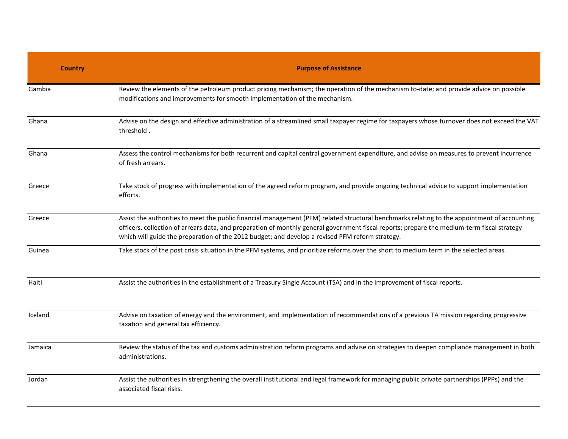| <b>Country</b> | <b>Purpose of Assistance</b>                                                                                                                                                                                                                                                                                                                                                                   |
|----------------|------------------------------------------------------------------------------------------------------------------------------------------------------------------------------------------------------------------------------------------------------------------------------------------------------------------------------------------------------------------------------------------------|
| Gambia         | Review the elements of the petroleum product pricing mechanism; the operation of the mechanism to-date; and provide advice on possible<br>modifications and improvements for smooth implementation of the mechanism.                                                                                                                                                                           |
| Ghana          | Advise on the design and effective administration of a streamlined small taxpayer regime for taxpayers whose turnover does not exceed the VAT<br>threshold.                                                                                                                                                                                                                                    |
| Ghana          | Assess the control mechanisms for both recurrent and capital central government expenditure, and advise on measures to prevent incurrence<br>of fresh arrears.                                                                                                                                                                                                                                 |
| Greece         | Take stock of progress with implementation of the agreed reform program, and provide ongoing technical advice to support implementation<br>efforts.                                                                                                                                                                                                                                            |
| Greece         | Assist the authorities to meet the public financial management (PFM) related structural benchmarks relating to the appointment of accounting<br>officers, collection of arrears data, and preparation of monthly general government fiscal reports; prepare the medium-term fiscal strategy<br>which will guide the preparation of the 2012 budget; and develop a revised PFM reform strategy. |
| Guinea         | Take stock of the post crisis situation in the PFM systems, and prioritize reforms over the short to medium term in the selected areas.                                                                                                                                                                                                                                                        |
| Haiti          | Assist the authorities in the establishment of a Treasury Single Account (TSA) and in the improvement of fiscal reports.                                                                                                                                                                                                                                                                       |
| Iceland        | Advise on taxation of energy and the environment, and implementation of recommendations of a previous TA mission regarding progressive<br>taxation and general tax efficiency.                                                                                                                                                                                                                 |
| Jamaica        | Review the status of the tax and customs administration reform programs and advise on strategies to deepen compliance management in both<br>administrations.                                                                                                                                                                                                                                   |
| Jordan         | Assist the authorities in strengthening the overall institutional and legal framework for managing public private partnerships (PPPs) and the<br>associated fiscal risks.                                                                                                                                                                                                                      |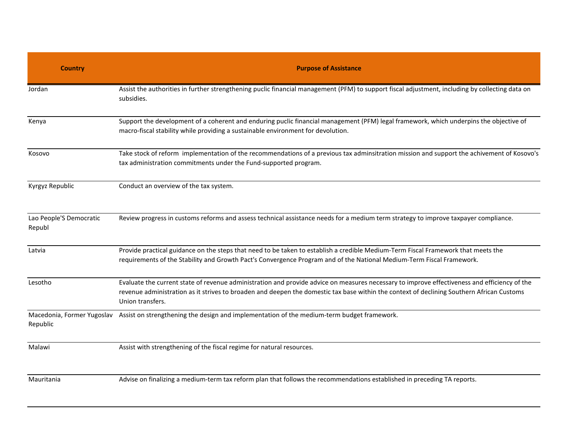| <b>Country</b>                    | <b>Purpose of Assistance</b>                                                                                                                                                                                                                                                                                  |
|-----------------------------------|---------------------------------------------------------------------------------------------------------------------------------------------------------------------------------------------------------------------------------------------------------------------------------------------------------------|
| Jordan                            | Assist the authorities in further strengthening puclic financial management (PFM) to support fiscal adjustment, including by collecting data on<br>subsidies.                                                                                                                                                 |
| Kenya                             | Support the development of a coherent and enduring puclic financial management (PFM) legal framework, which underpins the objective of<br>macro-fiscal stability while providing a sustainable environment for devolution.                                                                                    |
| Kosovo                            | Take stock of reform implementation of the recommendations of a previous tax adminsitration mission and support the achivement of Kosovo's<br>tax administration commitments under the Fund-supported program.                                                                                                |
| Kyrgyz Republic                   | Conduct an overview of the tax system.                                                                                                                                                                                                                                                                        |
| Lao People'S Democratic<br>Republ | Review progress in customs reforms and assess technical assistance needs for a medium term strategy to improve taxpayer compliance.                                                                                                                                                                           |
| Latvia                            | Provide practical guidance on the steps that need to be taken to establish a credible Medium-Term Fiscal Framework that meets the<br>requirements of the Stability and Growth Pact's Convergence Program and of the National Medium-Term Fiscal Framework.                                                    |
| Lesotho                           | Evaluate the current state of revenue administration and provide advice on measures necessary to improve effectiveness and efficiency of the<br>revenue administration as it strives to broaden and deepen the domestic tax base within the context of declining Southern African Customs<br>Union transfers. |
| Republic                          | Macedonia, Former Yugoslav Assist on strengthening the design and implementation of the medium-term budget framework.                                                                                                                                                                                         |
| Malawi                            | Assist with strengthening of the fiscal regime for natural resources.                                                                                                                                                                                                                                         |
| Mauritania                        | Advise on finalizing a medium-term tax reform plan that follows the recommendations established in preceding TA reports.                                                                                                                                                                                      |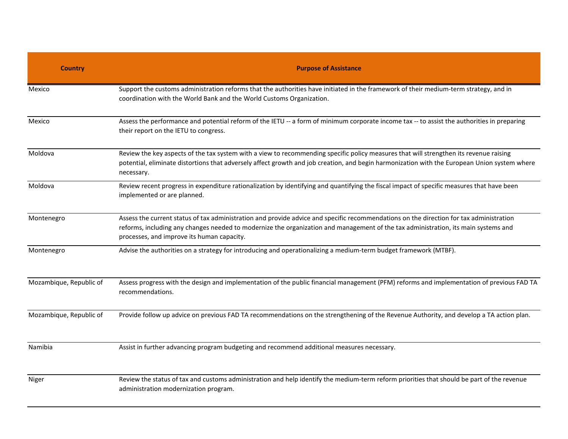| <b>Country</b>          | <b>Purpose of Assistance</b>                                                                                                                                                                                                                                                                                                |
|-------------------------|-----------------------------------------------------------------------------------------------------------------------------------------------------------------------------------------------------------------------------------------------------------------------------------------------------------------------------|
| Mexico                  | Support the customs administration reforms that the authorities have initiated in the framework of their medium-term strategy, and in<br>coordination with the World Bank and the World Customs Organization.                                                                                                               |
| Mexico                  | Assess the performance and potential reform of the IETU -- a form of minimum corporate income tax -- to assist the authorities in preparing<br>their report on the IETU to congress.                                                                                                                                        |
| Moldova                 | Review the key aspects of the tax system with a view to recommending specific policy measures that will strengthen its revenue raising<br>potential, eliminate distortions that adversely affect growth and job creation, and begin harmonization with the European Union system where<br>necessary.                        |
| Moldova                 | Review recent progress in expenditure rationalization by identifying and quantifying the fiscal impact of specific measures that have been<br>implemented or are planned.                                                                                                                                                   |
| Montenegro              | Assess the current status of tax administration and provide advice and specific recommendations on the direction for tax administration<br>reforms, including any changes needed to modernize the organization and management of the tax administration, its main systems and<br>processes, and improve its human capacity. |
| Montenegro              | Advise the authorities on a strategy for introducing and operationalizing a medium-term budget framework (MTBF).                                                                                                                                                                                                            |
| Mozambique, Republic of | Assess progress with the design and implementation of the public financial management (PFM) reforms and implementation of previous FAD TA<br>recommendations.                                                                                                                                                               |
| Mozambique, Republic of | Provide follow up advice on previous FAD TA recommendations on the strengthening of the Revenue Authority, and develop a TA action plan.                                                                                                                                                                                    |
| Namibia                 | Assist in further advancing program budgeting and recommend additional measures necessary.                                                                                                                                                                                                                                  |
| Niger                   | Review the status of tax and customs administration and help identify the medium-term reform priorities that should be part of the revenue<br>administration modernization program.                                                                                                                                         |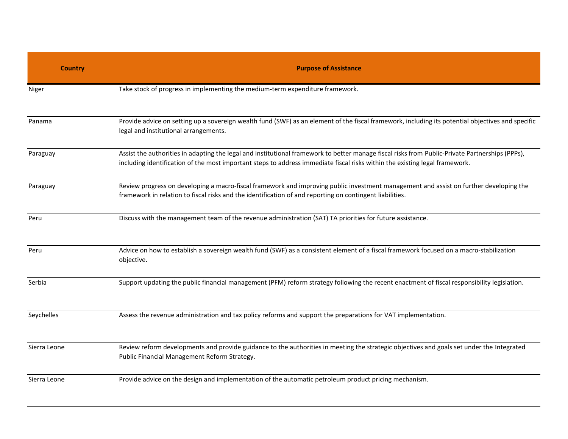| <b>Country</b> | <b>Purpose of Assistance</b>                                                                                                                                                                                                                                                   |
|----------------|--------------------------------------------------------------------------------------------------------------------------------------------------------------------------------------------------------------------------------------------------------------------------------|
| Niger          | Take stock of progress in implementing the medium-term expenditure framework.                                                                                                                                                                                                  |
| Panama         | Provide advice on setting up a sovereign wealth fund (SWF) as an element of the fiscal framework, including its potential objectives and specific<br>legal and institutional arrangements.                                                                                     |
| Paraguay       | Assist the authorities in adapting the legal and institutional framework to better manage fiscal risks from Public-Private Partnerships (PPPs),<br>including identification of the most important steps to address immediate fiscal risks within the existing legal framework. |
| Paraguay       | Review progress on developing a macro-fiscal framework and improving public investment management and assist on further developing the<br>framework in relation to fiscal risks and the identification of and reporting on contingent liabilities.                             |
| Peru           | Discuss with the management team of the revenue administration (SAT) TA priorities for future assistance.                                                                                                                                                                      |
| Peru           | Advice on how to establish a sovereign wealth fund (SWF) as a consistent element of a fiscal framework focused on a macro-stabilization<br>objective.                                                                                                                          |
| Serbia         | Support updating the public financial management (PFM) reform strategy following the recent enactment of fiscal responsibility legislation.                                                                                                                                    |
| Seychelles     | Assess the revenue administration and tax policy reforms and support the preparations for VAT implementation.                                                                                                                                                                  |
| Sierra Leone   | Review reform developments and provide guidance to the authorities in meeting the strategic objectives and goals set under the Integrated<br>Public Financial Management Reform Strategy.                                                                                      |
| Sierra Leone   | Provide advice on the design and implementation of the automatic petroleum product pricing mechanism.                                                                                                                                                                          |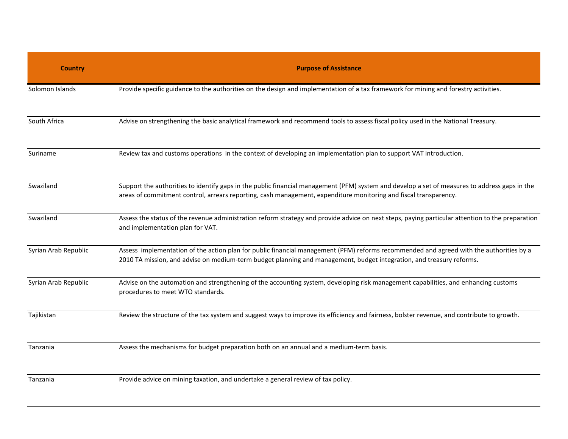| <b>Country</b>       | <b>Purpose of Assistance</b>                                                                                                                                                                                                                                      |
|----------------------|-------------------------------------------------------------------------------------------------------------------------------------------------------------------------------------------------------------------------------------------------------------------|
| Solomon Islands      | Provide specific guidance to the authorities on the design and implementation of a tax framework for mining and forestry activities.                                                                                                                              |
| South Africa         | Advise on strengthening the basic analytical framework and recommend tools to assess fiscal policy used in the National Treasury.                                                                                                                                 |
| Suriname             | Review tax and customs operations in the context of developing an implementation plan to support VAT introduction.                                                                                                                                                |
| Swaziland            | Support the authorities to identify gaps in the public financial management (PFM) system and develop a set of measures to address gaps in the<br>areas of commitment control, arrears reporting, cash management, expenditure monitoring and fiscal transparency. |
| Swaziland            | Assess the status of the revenue administration reform strategy and provide advice on next steps, paying particular attention to the preparation<br>and implementation plan for VAT.                                                                              |
| Syrian Arab Republic | Assess implementation of the action plan for public financial management (PFM) reforms recommended and agreed with the authorities by a<br>2010 TA mission, and advise on medium-term budget planning and management, budget integration, and treasury reforms.   |
| Syrian Arab Republic | Advise on the automation and strengthening of the accounting system, developing risk management capabilities, and enhancing customs<br>procedures to meet WTO standards.                                                                                          |
| Tajikistan           | Review the structure of the tax system and suggest ways to improve its efficiency and fairness, bolster revenue, and contribute to growth.                                                                                                                        |
| Tanzania             | Assess the mechanisms for budget preparation both on an annual and a medium-term basis.                                                                                                                                                                           |
| Tanzania             | Provide advice on mining taxation, and undertake a general review of tax policy.                                                                                                                                                                                  |